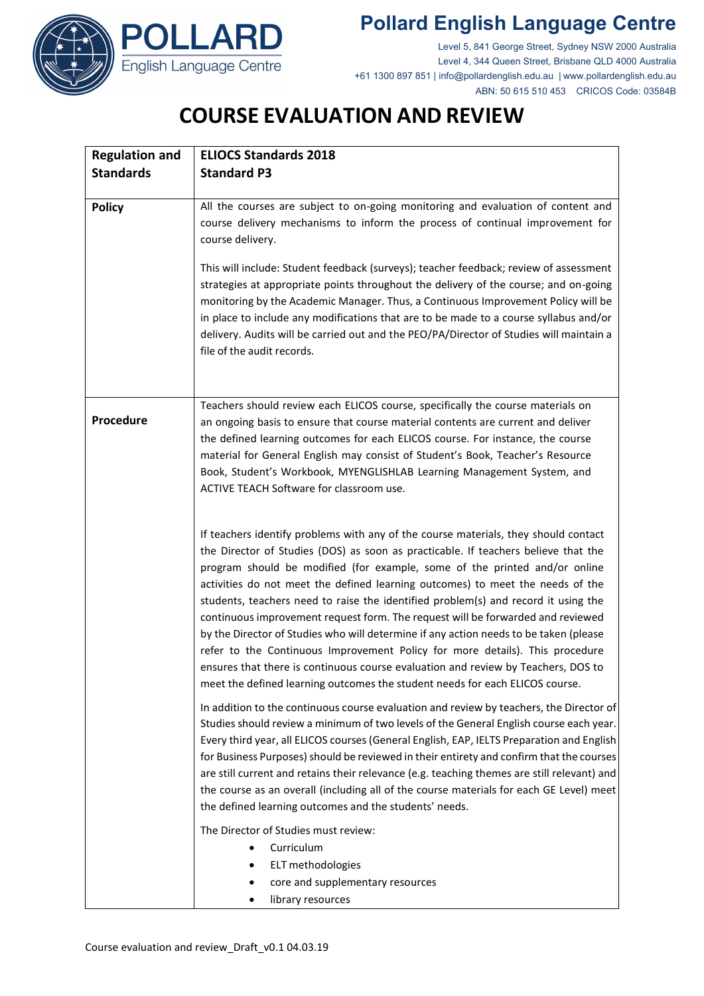





Level 5, 841 George Street, Sydney NSW 2000 Australia Level 4, 344 Queen Street, Brisbane QLD 4000 Australia +61 1300 897 851 | info@pollardenglish.edu.au | www.pollardenglish.edu.au ABN: 50 615 510 453 CRICOS Code: 03584B

## **COURSE EVALUATION AND REVIEW**

| <b>Regulation and</b> | <b>ELIOCS Standards 2018</b>                                                                                                                                                                                                                                                                                                                                                                                                                                                                                                                                                                                                                                                                                                                                                                                                                                     |  |  |  |
|-----------------------|------------------------------------------------------------------------------------------------------------------------------------------------------------------------------------------------------------------------------------------------------------------------------------------------------------------------------------------------------------------------------------------------------------------------------------------------------------------------------------------------------------------------------------------------------------------------------------------------------------------------------------------------------------------------------------------------------------------------------------------------------------------------------------------------------------------------------------------------------------------|--|--|--|
| <b>Standards</b>      | <b>Standard P3</b>                                                                                                                                                                                                                                                                                                                                                                                                                                                                                                                                                                                                                                                                                                                                                                                                                                               |  |  |  |
| <b>Policy</b>         | All the courses are subject to on-going monitoring and evaluation of content and<br>course delivery mechanisms to inform the process of continual improvement for<br>course delivery.                                                                                                                                                                                                                                                                                                                                                                                                                                                                                                                                                                                                                                                                            |  |  |  |
|                       | This will include: Student feedback (surveys); teacher feedback; review of assessment<br>strategies at appropriate points throughout the delivery of the course; and on-going<br>monitoring by the Academic Manager. Thus, a Continuous Improvement Policy will be<br>in place to include any modifications that are to be made to a course syllabus and/or<br>delivery. Audits will be carried out and the PEO/PA/Director of Studies will maintain a<br>file of the audit records.                                                                                                                                                                                                                                                                                                                                                                             |  |  |  |
| Procedure             | Teachers should review each ELICOS course, specifically the course materials on<br>an ongoing basis to ensure that course material contents are current and deliver<br>the defined learning outcomes for each ELICOS course. For instance, the course<br>material for General English may consist of Student's Book, Teacher's Resource<br>Book, Student's Workbook, MYENGLISHLAB Learning Management System, and<br>ACTIVE TEACH Software for classroom use.                                                                                                                                                                                                                                                                                                                                                                                                    |  |  |  |
|                       | If teachers identify problems with any of the course materials, they should contact<br>the Director of Studies (DOS) as soon as practicable. If teachers believe that the<br>program should be modified (for example, some of the printed and/or online<br>activities do not meet the defined learning outcomes) to meet the needs of the<br>students, teachers need to raise the identified problem(s) and record it using the<br>continuous improvement request form. The request will be forwarded and reviewed<br>by the Director of Studies who will determine if any action needs to be taken (please<br>refer to the Continuous Improvement Policy for more details). This procedure<br>ensures that there is continuous course evaluation and review by Teachers, DOS to<br>meet the defined learning outcomes the student needs for each ELICOS course. |  |  |  |
|                       | In addition to the continuous course evaluation and review by teachers, the Director of<br>Studies should review a minimum of two levels of the General English course each year.<br>Every third year, all ELICOS courses (General English, EAP, IELTS Preparation and English<br>for Business Purposes) should be reviewed in their entirety and confirm that the courses<br>are still current and retains their relevance (e.g. teaching themes are still relevant) and<br>the course as an overall (including all of the course materials for each GE Level) meet<br>the defined learning outcomes and the students' needs.                                                                                                                                                                                                                                   |  |  |  |
|                       | The Director of Studies must review:<br>Curriculum<br>ELT methodologies<br>core and supplementary resources<br>library resources                                                                                                                                                                                                                                                                                                                                                                                                                                                                                                                                                                                                                                                                                                                                 |  |  |  |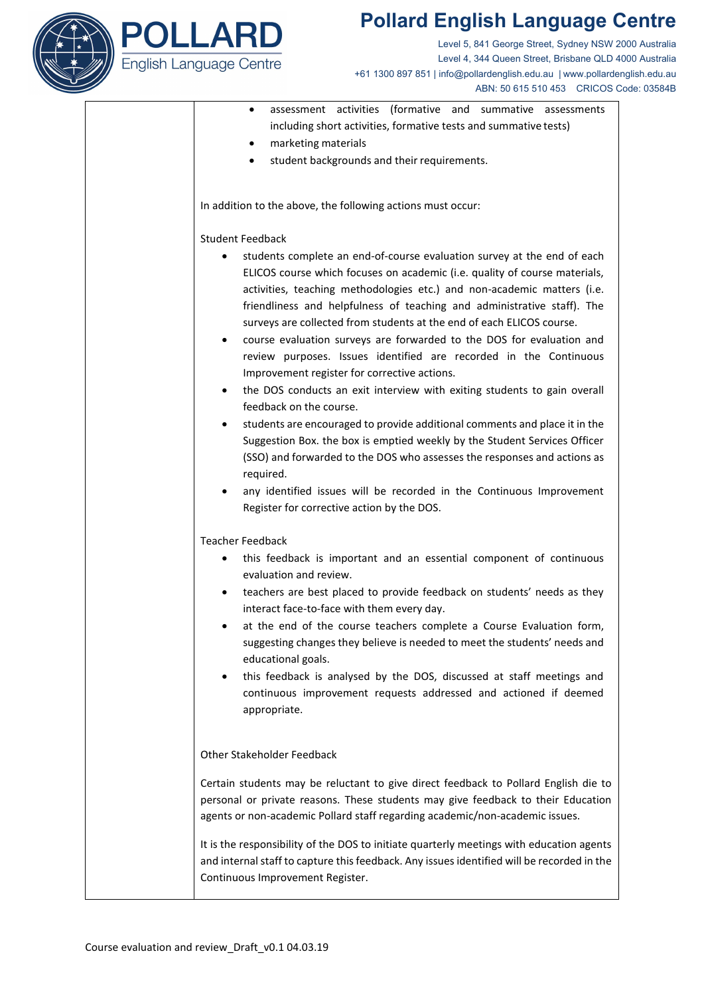

# **Pollard English Language Centre**

Level 5, 841 George Street, Sydney NSW 2000 Australia Level 4, 344 Queen Street, Brisbane QLD 4000 Australia +61 1300 897 851 | info@pollardenglish.edu.au | www.pollardenglish.edu.au ABN: 50 615 510 453 CRICOS Code: 03584B

| assessment activities (formative and summative assessments       |  |  |  |  |  |  |
|------------------------------------------------------------------|--|--|--|--|--|--|
| including short activities, formative tests and summative tests) |  |  |  |  |  |  |

- marketing materials
- student backgrounds and their requirements.

In addition to the above, the following actions must occur:

### Student Feedback

- students complete an end-of-course evaluation survey at the end of each ELICOS course which focuses on academic (i.e. quality of course materials, activities, teaching methodologies etc.) and non-academic matters (i.e. friendliness and helpfulness of teaching and administrative staff). The surveys are collected from students at the end of each ELICOS course.
- course evaluation surveys are forwarded to the DOS for evaluation and review purposes. Issues identified are recorded in the Continuous Improvement register for corrective actions.
- the DOS conducts an exit interview with exiting students to gain overall feedback on the course.
- students are encouraged to provide additional comments and place it in the Suggestion Box. the box is emptied weekly by the Student Services Officer (SSO) and forwarded to the DOS who assesses the responses and actions as required.
- any identified issues will be recorded in the Continuous Improvement Register for corrective action by the DOS.

#### Teacher Feedback

- this feedback is important and an essential component of continuous evaluation and review.
- teachers are best placed to provide feedback on students' needs as they interact face-to-face with them every day.
- at the end of the course teachers complete a Course Evaluation form, suggesting changes they believe is needed to meet the students' needs and educational goals.
- this feedback is analysed by the DOS, discussed at staff meetings and continuous improvement requests addressed and actioned if deemed appropriate.

### Other Stakeholder Feedback

Certain students may be reluctant to give direct feedback to Pollard English die to personal or private reasons. These students may give feedback to their Education agents or non-academic Pollard staff regarding academic/non-academic issues.

It is the responsibility of the DOS to initiate quarterly meetings with education agents and internal staff to capture this feedback. Any issues identified will be recorded in the Continuous Improvement Register.